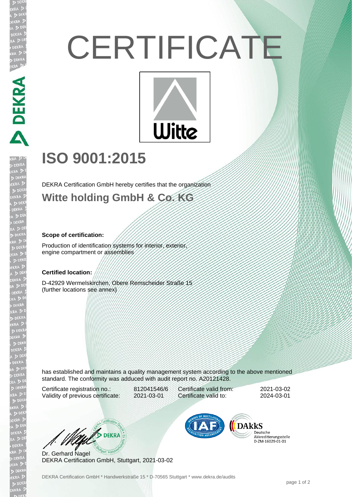# **CERTIFICATE**



# **ISO 9001:2015**

DEKRA Certification GmbH hereby certifies that the organization

### **Witte holding GmbH & Co. KG**

#### **Scope of certification:**

PERPASSED A PERPASSED PRESS

EKR

Production of identification systems for interior, exterior, engine compartment or assemblies

#### **Certified location:**

D-42929 Wermelskirchen, Obere Remscheider Straße 15 (further locations see annex)

has established and maintains a quality management system according to the above mentioned standard. The conformity was adduced with audit report no. A20121428.

Certificate registration no.: 812041546/6 Validity of previous certificate: 2021-03-01

Certificate valid from: 2021-03-02 Certificate valid to: 2024-03-01

WE DEKRA

Dr. Gerhard Nagel DEKRA Certification GmbH, Stuttgart, 2021-03-02



Deutsche Akkreditierungsstelle